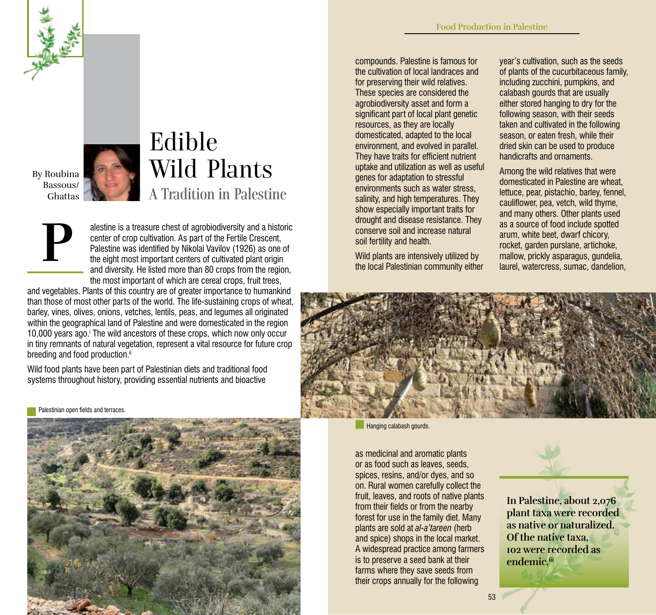

By Roubina Bassous/ Ghattas

## Edible Wild Plants A Tradition in Palestine

**P**

Palestinian open fields and terraces

alestine is a treasure chest of agrobiodiversity and a historic center of crop cultivation. As part of the Fertile Crescent, Palestine was identified by Nikolai Vavilov (1926) as one of the eight most important centers of cultivated plant origin and diversity. He listed more than 80 crops from the region, the most important of which are cereal crops, fruit trees,

and vegetables. Plants of this country are of greater importance to humankind than those of most other parts of the world. The life-sustaining crops of wheat, barley, vines, olives, onions, vetches, lentils, peas, and legumes all originated within the geographical land of Palestine and were domesticated in the region 10,000 years ago.<sup>i</sup> The wild ancestors of these crops, which now only occur in tiny remnants of natural vegetation, represent a vital resource for future crop breeding and food production.<sup>ii</sup>

Wild food plants have been part of Palestinian diets and traditional food systems throughout history, providing essential nutrients and bioactive

53 **533 - 1980 - 1980 - 1980 - 1980 - 1980 - 1980 - 1980 - 1980 - 1980 - 1980 - 1980 - 1980 - 1980 - 1980 - 19** 

compounds. Palestine is famous for the cultivation of local landraces and for preserving their wild relatives. These species are considered the agrobiodiversity asset and form a significant part of local plant genetic resources, as they are locally domesticated, adapted to the local environment, and evolved in parallel. They have traits for efficient nutrient uptake and utilization as well as useful genes for adaptation to stressful environments such as water stress, salinity, and high temperatures. They show especially important traits for drought and disease resistance. They conserve soil and increase natural soil fertility and health.

Wild plants are intensively utilized by the local Palestinian community either

year's cultivation, such as the seeds of plants of the cucurbitaceous family, including zucchini, pumpkins, and calabash gourds that are usually either stored hanging to dry for the following season, with their seeds taken and cultivated in the following season, or eaten fresh, while their dried skin can be used to produce handicrafts and ornaments.

Among the wild relatives that were domesticated in Palestine are wheat, lettuce, pear, pistachio, barley, fennel, cauliflower, pea, vetch, wild thyme, and many others. Other plants used as a source of food include spotted arum, white beet, dwarf chicory, rocket, garden purslane, artichoke, mallow, prickly asparagus, gundelia, laurel, watercress, sumac, dandelion,



**Hanging calabash gourds.** 

as medicinal and aromatic plants or as food such as leaves, seeds, spices, resins, and/or dyes, and so on. Rural women carefully collect the fruit, leaves, and roots of native plants from their fields or from the nearby forest for use in the family diet. Many plants are sold at *al-a'tareen* (herb and spice) shops in the local market. A widespread practice among farmers is to preserve a seed bank at their farms where they save seeds from their crops annually for the following

**In Palestine, about 2,076 plant taxa were recorded as native or naturalized. Of the native taxa, 102 were recorded as endemic.iii**